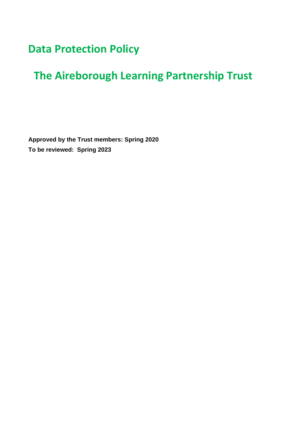# **Data Protection Policy**

# **The Aireborough Learning Partnership Trust**

**Approved by the Trust members: Spring 2020 To be reviewed: Spring 2023**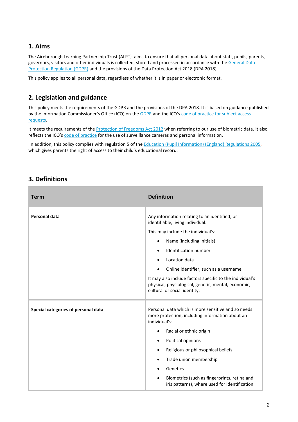### **1. Aims**

The Aireborough Learning Partnership Trust (ALPT) aims to ensure that all personal data about staff, pupils, parents, governors, visitors and other individuals is collected, stored and processed in accordance with the General Data [Protection Regulation \(GDPR\)](http://data.consilium.europa.eu/doc/document/ST-5419-2016-INIT/en/pdf) and the provisions of the Data Protection Act 2018 (DPA 2018).

This policy applies to all personal data, regardless of whether it is in paper or electronic format.

## **2. Legislation and guidance**

This policy meets the requirements of the GDPR and the provisions of the DPA 2018. It is based on guidance published by the Information Commissioner's Office (ICO) on the [GDPR](https://ico.org.uk/for-organisations/guide-to-the-general-data-protection-regulation-gdpr/) and the ICO's [code of practice for subject access](https://ico.org.uk/media/for-organisations/documents/2014223/subject-access-code-of-practice.pdf)  [requests.](https://ico.org.uk/media/for-organisations/documents/2014223/subject-access-code-of-practice.pdf)

It meets the requirements of the [Protection of Freedoms Act 2012](https://www.legislation.gov.uk/ukpga/2012/9/part/1/chapter/2) when referring to our use of biometric data. It also reflects the ICO's [code of practice](https://ico.org.uk/media/for-organisations/documents/1542/cctv-code-of-practice.pdf) for the use of surveillance cameras and personal information.

In addition, this policy complies with regulation 5 of the Education (Pupil Information) (England) Regulations 2005, which gives parents the right of access to their child's educational record.

## **3. Definitions**

| <b>Term</b>                         | <b>Definition</b>                                                                                                                               |
|-------------------------------------|-------------------------------------------------------------------------------------------------------------------------------------------------|
| Personal data                       | Any information relating to an identified, or<br>identifiable, living individual.                                                               |
|                                     | This may include the individual's:                                                                                                              |
|                                     | Name (including initials)<br>$\bullet$                                                                                                          |
|                                     | Identification number<br>$\bullet$                                                                                                              |
|                                     | Location data<br>$\bullet$                                                                                                                      |
|                                     | Online identifier, such as a username                                                                                                           |
|                                     | It may also include factors specific to the individual's<br>physical, physiological, genetic, mental, economic,<br>cultural or social identity. |
| Special categories of personal data | Personal data which is more sensitive and so needs<br>more protection, including information about an<br>individual's:                          |
|                                     | Racial or ethnic origin                                                                                                                         |
|                                     | Political opinions<br>$\bullet$                                                                                                                 |
|                                     | Religious or philosophical beliefs<br>$\bullet$                                                                                                 |
|                                     | Trade union membership                                                                                                                          |
|                                     | Genetics                                                                                                                                        |
|                                     | Biometrics (such as fingerprints, retina and<br>iris patterns), where used for identification                                                   |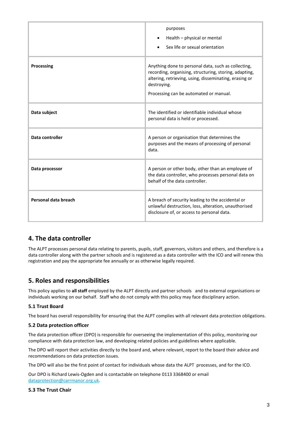|                      | purposes<br>Health – physical or mental<br>Sex life or sexual orientation                                                                                                                                                        |
|----------------------|----------------------------------------------------------------------------------------------------------------------------------------------------------------------------------------------------------------------------------|
| Processing           | Anything done to personal data, such as collecting,<br>recording, organising, structuring, storing, adapting,<br>altering, retrieving, using, disseminating, erasing or<br>destroying.<br>Processing can be automated or manual. |
| Data subject         | The identified or identifiable individual whose<br>personal data is held or processed.                                                                                                                                           |
| Data controller      | A person or organisation that determines the<br>purposes and the means of processing of personal<br>data.                                                                                                                        |
| Data processor       | A person or other body, other than an employee of<br>the data controller, who processes personal data on<br>behalf of the data controller.                                                                                       |
| Personal data breach | A breach of security leading to the accidental or<br>unlawful destruction, loss, alteration, unauthorised<br>disclosure of, or access to personal data.                                                                          |

## **4. The data controller**

The ALPT processes personal data relating to parents, pupils, staff, governors, visitors and others, and therefore is a data controller along with the partner schools and is registered as a data controller with the ICO and will renew this registration and pay the appropriate fee annually or as otherwise legally required.

# **5. Roles and responsibilities**

This policy applies to **all staff** employed by the ALPT directly and partner schools and to external organisations or individuals working on our behalf. Staff who do not comply with this policy may face disciplinary action.

#### **5.1 Trust Board**

The board has overall responsibility for ensuring that the ALPT complies with all relevant data protection obligations.

#### **5.2 Data protection officer**

The data protection officer (DPO) is responsible for overseeing the implementation of this policy, monitoring our compliance with data protection law, and developing related policies and guidelines where applicable.

The DPO will report their activities directly to the board and, where relevant, report to the board their advice and recommendations on data protection issues.

The DPO will also be the first point of contact for individuals whose data the ALPT processes, and for the ICO.

Our DPO is Richard Lewis-Ogden and is contactable on telephone 0113 3368400 or email [dataprotection@carrmanor.org.uk.](mailto:dataprotection@carrmanor.org.uk)

#### **5.3 The Trust Chair**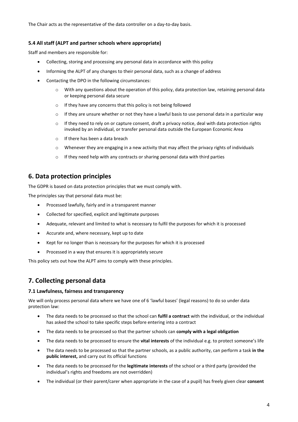The Chair acts as the representative of the data controller on a day-to-day basis.

#### **5.4 All staff (ALPT and partner schools where appropriate)**

Staff and members are responsible for:

- Collecting, storing and processing any personal data in accordance with this policy
- Informing the ALPT of any changes to their personal data, such as a change of address
- Contacting the DPO in the following circumstances:
	- o With any questions about the operation of this policy, data protection law, retaining personal data or keeping personal data secure
	- o If they have any concerns that this policy is not being followed
	- $\circ$  If they are unsure whether or not they have a lawful basis to use personal data in a particular way
	- $\circ$  If they need to rely on or capture consent, draft a privacy notice, deal with data protection rights invoked by an individual, or transfer personal data outside the European Economic Area
	- o If there has been a data breach
	- $\circ$  Whenever they are engaging in a new activity that may affect the privacy rights of individuals
	- $\circ$  If they need help with any contracts or sharing personal data with third parties

#### **6. Data protection principles**

The GDPR is based on data protection principles that we must comply with.

The principles say that personal data must be:

- Processed lawfully, fairly and in a transparent manner
- Collected for specified, explicit and legitimate purposes
- Adequate, relevant and limited to what is necessary to fulfil the purposes for which it is processed
- Accurate and, where necessary, kept up to date
- Kept for no longer than is necessary for the purposes for which it is processed
- Processed in a way that ensures it is appropriately secure

This policy sets out how the ALPT aims to comply with these principles.

## **7. Collecting personal data**

#### **7.1 Lawfulness, fairness and transparency**

We will only process personal data where we have one of 6 'lawful bases' (legal reasons) to do so under data protection law:

- The data needs to be processed so that the school can **fulfil a contract** with the individual, or the individual has asked the school to take specific steps before entering into a contract
- The data needs to be processed so that the partner schools can **comply with a legal obligation**
- The data needs to be processed to ensure the **vital interests** of the individual e.g. to protect someone's life
- The data needs to be processed so that the partner schools, as a public authority, can perform a task **in the public interest,** and carry out its official functions
- The data needs to be processed for the **legitimate interests** of the school or a third party (provided the individual's rights and freedoms are not overridden)
- The individual (or their parent/carer when appropriate in the case of a pupil) has freely given clear **consent**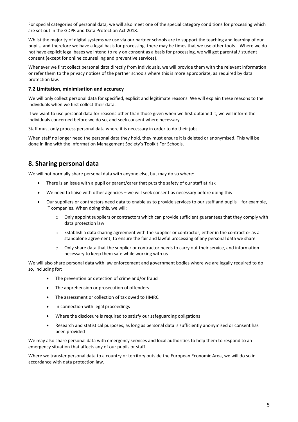For special categories of personal data, we will also meet one of the special category conditions for processing which are set out in the GDPR and Data Protection Act 2018.

Whilst the majority of digital systems we use via our partner schools are to support the teaching and learning of our pupils, and therefore we have a legal basis for processing, there may be times that we use other tools. Where we do not have explicit legal bases we intend to rely on consent as a basis for processing, we will get parental / student consent (except for online counselling and preventive services).

Whenever we first collect personal data directly from individuals, we will provide them with the relevant information or refer them to the privacy notices of the partner schools where this is more appropriate, as required by data protection law.

#### **7.2 Limitation, minimisation and accuracy**

We will only collect personal data for specified, explicit and legitimate reasons. We will explain these reasons to the individuals when we first collect their data.

If we want to use personal data for reasons other than those given when we first obtained it, we will inform the individuals concerned before we do so, and seek consent where necessary.

Staff must only process personal data where it is necessary in order to do their jobs.

When staff no longer need the personal data they hold, they must ensure it is deleted or anonymised. This will be done in line with the Information Management Society's Toolkit For Schools.

## **8. Sharing personal data**

We will not normally share personal data with anyone else, but may do so where:

- There is an issue with a pupil or parent/carer that puts the safety of our staff at risk
- We need to liaise with other agencies we will seek consent as necessary before doing this
- Our suppliers or contractors need data to enable us to provide services to our staff and pupils for example, IT companies. When doing this, we will:
	- $\circ$  Only appoint suppliers or contractors which can provide sufficient guarantees that they comply with data protection law
	- o Establish a data sharing agreement with the supplier or contractor, either in the contract or as a standalone agreement, to ensure the fair and lawful processing of any personal data we share
	- o Only share data that the supplier or contractor needs to carry out their service, and information necessary to keep them safe while working with us

We will also share personal data with law enforcement and government bodies where we are legally required to do so, including for:

- The prevention or detection of crime and/or fraud
- The apprehension or prosecution of offenders
- The assessment or collection of tax owed to HMRC
- In connection with legal proceedings
- Where the disclosure is required to satisfy our safeguarding obligations
- Research and statistical purposes, as long as personal data is sufficiently anonymised or consent has been provided

We may also share personal data with emergency services and local authorities to help them to respond to an emergency situation that affects any of our pupils or staff.

Where we transfer personal data to a country or territory outside the European Economic Area, we will do so in accordance with data protection law.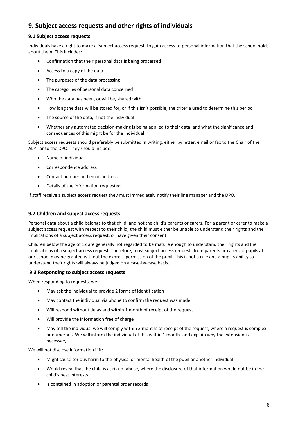# **9. Subject access requests and other rights of individuals**

#### **9.1 Subject access requests**

Individuals have a right to make a 'subject access request' to gain access to personal information that the school holds about them. This includes:

- Confirmation that their personal data is being processed
- Access to a copy of the data
- The purposes of the data processing
- The categories of personal data concerned
- Who the data has been, or will be, shared with
- How long the data will be stored for, or if this isn't possible, the criteria used to determine this period
- The source of the data, if not the individual
- Whether any automated decision-making is being applied to their data, and what the significance and consequences of this might be for the individual

Subject access requests should preferably be submitted in writing, either by letter, email or fax to the Chair of the ALPT or to the DPO. They should include:

- Name of individual
- Correspondence address
- Contact number and email address
- Details of the information requested

If staff receive a subject access request they must immediately notify their line manager and the DPO.

#### **9.2 Children and subject access requests**

Personal data about a child belongs to that child, and not the child's parents or carers. For a parent or carer to make a subject access request with respect to their child, the child must either be unable to understand their rights and the implications of a subject access request, or have given their consent.

Children below the age of 12 are generally not regarded to be mature enough to understand their rights and the implications of a subject access request. Therefore, most subject access requests from parents or carers of pupils at our school may be granted without the express permission of the pupil. This is not a rule and a pupil's ability to understand their rights will always be judged on a case-by-case basis.

#### **9.3 Responding to subject access requests**

When responding to requests, we:

- May ask the individual to provide 2 forms of identification
- May contact the individual via phone to confirm the request was made
- Will respond without delay and within 1 month of receipt of the request
- Will provide the information free of charge
- May tell the individual we will comply within 3 months of receipt of the request, where a request is complex or numerous. We will inform the individual of this within 1 month, and explain why the extension is necessary

We will not disclose information if it:

- Might cause serious harm to the physical or mental health of the pupil or another individual
- Would reveal that the child is at risk of abuse, where the disclosure of that information would not be in the child's best interests
- Is contained in adoption or parental order records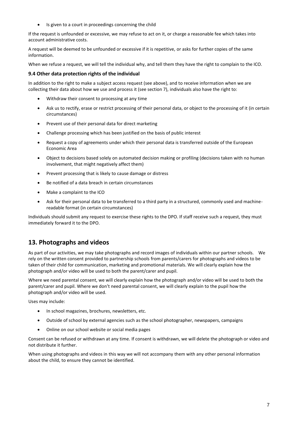• Is given to a court in proceedings concerning the child

If the request is unfounded or excessive, we may refuse to act on it, or charge a reasonable fee which takes into account administrative costs.

A request will be deemed to be unfounded or excessive if it is repetitive, or asks for further copies of the same information.

When we refuse a request, we will tell the individual why, and tell them they have the right to complain to the ICO.

#### **9.4 Other data protection rights of the individual**

In addition to the right to make a subject access request (see above), and to receive information when we are collecting their data about how we use and process it (see section 7), individuals also have the right to:

- Withdraw their consent to processing at any time
- Ask us to rectify, erase or restrict processing of their personal data, or object to the processing of it (in certain circumstances)
- Prevent use of their personal data for direct marketing
- Challenge processing which has been justified on the basis of public interest
- Request a copy of agreements under which their personal data is transferred outside of the European Economic Area
- Object to decisions based solely on automated decision making or profiling (decisions taken with no human involvement, that might negatively affect them)
- Prevent processing that is likely to cause damage or distress
- Be notified of a data breach in certain circumstances
- Make a complaint to the ICO
- Ask for their personal data to be transferred to a third party in a structured, commonly used and machinereadable format (in certain circumstances)

Individuals should submit any request to exercise these rights to the DPO. If staff receive such a request, they must immediately forward it to the DPO.

## **13. Photographs and videos**

As part of our activities, we may take photographs and record images of individuals within our partner schools. We rely on the written consent provided to partnership schools from parents/carers for photographs and videos to be taken of their child for communication, marketing and promotional materials. We will clearly explain how the photograph and/or video will be used to both the parent/carer and pupil.

Where we need parental consent, we will clearly explain how the photograph and/or video will be used to both the parent/carer and pupil. Where we don't need parental consent, we will clearly explain to the pupil how the photograph and/or video will be used.

Uses may include:

- In school magazines, brochures, newsletters, etc.
- Outside of school by external agencies such as the school photographer, newspapers, campaigns
- Online on our school website or social media pages

Consent can be refused or withdrawn at any time. If consent is withdrawn, we will delete the photograph or video and not distribute it further.

When using photographs and videos in this way we will not accompany them with any other personal information about the child, to ensure they cannot be identified.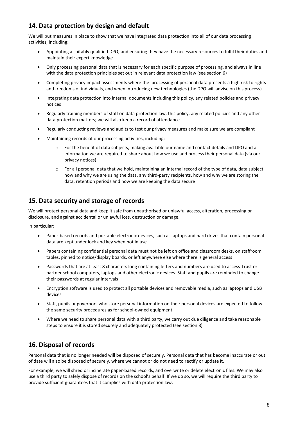# **14. Data protection by design and default**

We will put measures in place to show that we have integrated data protection into all of our data processing activities, including:

- Appointing a suitably qualified DPO, and ensuring they have the necessary resources to fulfil their duties and maintain their expert knowledge
- Only processing personal data that is necessary for each specific purpose of processing, and always in line with the data protection principles set out in relevant data protection law (see section 6)
- Completing privacy impact assessments where the processing of personal data presents a high risk to rights and freedoms of individuals, and when introducing new technologies (the DPO will advise on this process)
- Integrating data protection into internal documents including this policy, any related policies and privacy notices
- Regularly training members of staff on data protection law, this policy, any related policies and any other data protection matters; we will also keep a record of attendance
- Regularly conducting reviews and audits to test our privacy measures and make sure we are compliant
- Maintaining records of our processing activities, including:
	- $\circ$  For the benefit of data subjects, making available our name and contact details and DPO and all information we are required to share about how we use and process their personal data (via our privacy notices)
	- o For all personal data that we hold, maintaining an internal record of the type of data, data subject, how and why we are using the data, any third-party recipients, how and why we are storing the data, retention periods and how we are keeping the data secure

## **15. Data security and storage of records**

We will protect personal data and keep it safe from unauthorised or unlawful access, alteration, processing or disclosure, and against accidental or unlawful loss, destruction or damage.

In particular:

- Paper-based records and portable electronic devices, such as laptops and hard drives that contain personal data are kept under lock and key when not in use
- Papers containing confidential personal data must not be left on office and classroom desks, on staffroom tables, pinned to notice/display boards, or left anywhere else where there is general access
- Passwords that are at least 8 characters long containing letters and numbers are used to access Trust or partner school computers, laptops and other electronic devices. Staff and pupils are reminded to change their passwords at regular intervals
- Encryption software is used to protect all portable devices and removable media, such as laptops and USB devices
- Staff, pupils or governors who store personal information on their personal devices are expected to follow the same security procedures as for school-owned equipment.
- Where we need to share personal data with a third party, we carry out due diligence and take reasonable steps to ensure it is stored securely and adequately protected (see section 8)

# **16. Disposal of records**

Personal data that is no longer needed will be disposed of securely. Personal data that has become inaccurate or out of date will also be disposed of securely, where we cannot or do not need to rectify or update it.

For example, we will shred or incinerate paper-based records, and overwrite or delete electronic files. We may also use a third party to safely dispose of records on the school's behalf. If we do so, we will require the third party to provide sufficient guarantees that it complies with data protection law.